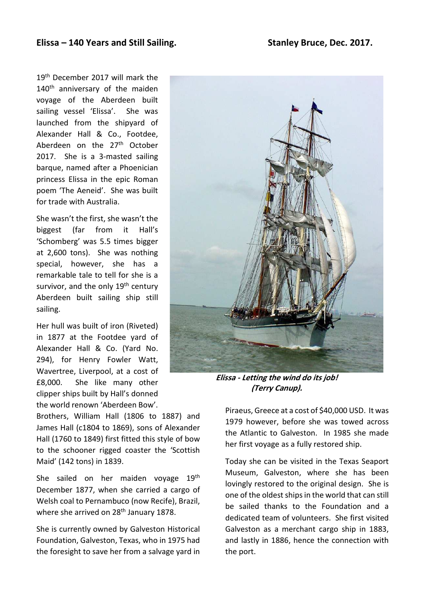19<sup>th</sup> December 2017 will mark the 140<sup>th</sup> anniversary of the maiden voyage of the Aberdeen built sailing vessel 'Elissa'. She was launched from the shipyard of Alexander Hall & Co., Footdee, Aberdeen on the 27<sup>th</sup> October 2017. She is a 3-masted sailing barque, named after a Phoenician princess Elissa in the epic Roman poem 'The Aeneid'. She was built for trade with Australia.

She wasn't the first, she wasn't the biggest (far from it Hall's 'Schomberg' was 5.5 times bigger at 2,600 tons). She was nothing special, however, she has a remarkable tale to tell for she is a survivor, and the only  $19<sup>th</sup>$  century Aberdeen built sailing ship still sailing.

Her hull was built of iron (Riveted) in 1877 at the Footdee yard of Alexander Hall & Co. (Yard No. 294), for Henry Fowler Watt, Wavertree, Liverpool, at a cost of £8,000. She like many other clipper ships built by Hall's donned the world renown 'Aberdeen Bow'.

Brothers, William Hall (1806 to 1887) and James Hall (c1804 to 1869), sons of Alexander Hall (1760 to 1849) first fitted this style of bow to the schooner rigged coaster the 'Scottish Maid' (142 tons) in 1839.

She sailed on her maiden voyage 19<sup>th</sup> December 1877, when she carried a cargo of Welsh coal to Pernambuco (now Recife), Brazil, where she arrived on 28<sup>th</sup> January 1878.

She is currently owned by Galveston Historical Foundation, Galveston, Texas, who in 1975 had the foresight to save her from a salvage yard in



**Elissa - Letting the wind do its job! (Terry Canup).**

Piraeus, Greece at a cost of \$40,000 USD. It was 1979 however, before she was towed across the Atlantic to Galveston. In 1985 she made her first voyage as a fully restored ship.

Today she can be visited in the Texas Seaport Museum, Galveston, where she has been lovingly restored to the original design. She is one of the oldest ships in the world that can still be sailed thanks to the Foundation and a dedicated team of volunteers. She first visited Galveston as a merchant cargo ship in 1883, and lastly in 1886, hence the connection with the port.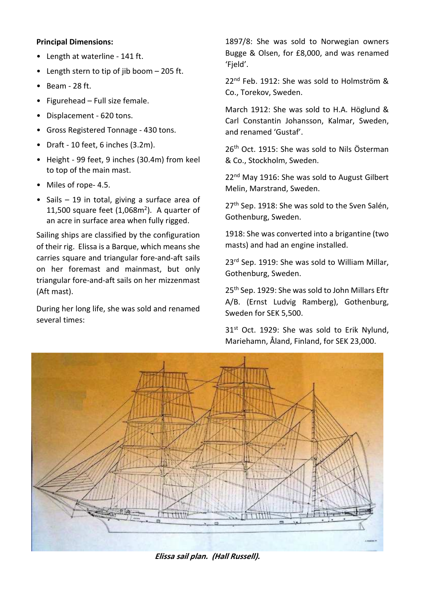## **Principal Dimensions:**

- Length at waterline 141 ft.
- Length stern to tip of jib boom 205 ft.
- Beam 28 ft.
- Figurehead Full size female.
- Displacement 620 tons.
- Gross Registered Tonnage 430 tons.
- Draft 10 feet, 6 inches (3.2m).
- Height 99 feet, 9 inches (30.4m) from keel to top of the main mast.
- Miles of rope- 4.5.
- Sails 19 in total, giving a surface area of 11,500 square feet  $(1,068m^2)$ . A quarter of an acre in surface area when fully rigged.

Sailing ships are classified by the configuration of their rig. Elissa is a Barque, which means she carries square and triangular fore-and-aft sails on her foremast and mainmast, but only triangular fore-and-aft sails on her mizzenmast (Aft mast).

During her long life, she was sold and renamed several times:

1897/8: She was sold to Norwegian owners Bugge & Olsen, for £8,000, and was renamed 'Fjeld'.

22<sup>nd</sup> Feb. 1912: She was sold to Holmström & Co., Torekov, Sweden.

March 1912: She was sold to H.A. Höglund & Carl Constantin Johansson, Kalmar, Sweden, and renamed 'Gustaf'.

26<sup>th</sup> Oct. 1915: She was sold to Nils Österman & Co., Stockholm, Sweden.

22<sup>nd</sup> May 1916: She was sold to August Gilbert Melin, Marstrand, Sweden.

27<sup>th</sup> Sep. 1918: She was sold to the Sven Salén, Gothenburg, Sweden.

1918: She was converted into a brigantine (two masts) and had an engine installed.

23<sup>rd</sup> Sep. 1919: She was sold to William Millar, Gothenburg, Sweden.

25<sup>th</sup> Sep. 1929: She was sold to John Millars Eftr A/B. (Ernst Ludvig Ramberg), Gothenburg, Sweden for SEK 5,500.

31<sup>st</sup> Oct. 1929: She was sold to Erik Nylund, Mariehamn, Åland, Finland, for SEK 23,000.



**Elissa sail plan. (Hall Russell).**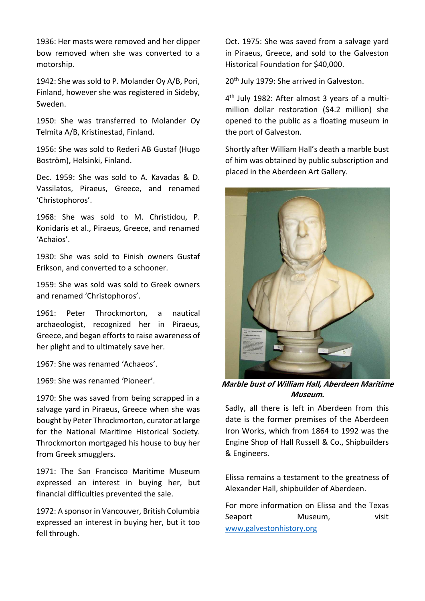1936: Her masts were removed and her clipper bow removed when she was converted to a motorship.

1942: She was sold to P. Molander Oy A/B, Pori, Finland, however she was registered in Sideby, Sweden.

1950: She was transferred to Molander Oy Telmita A/B, Kristinestad, Finland.

1956: She was sold to Rederi AB Gustaf (Hugo Boström), Helsinki, Finland.

Dec. 1959: She was sold to A. Kavadas & D. Vassilatos, Piraeus, Greece, and renamed 'Christophoros'.

1968: She was sold to M. Christidou, P. Konidaris et al., Piraeus, Greece, and renamed 'Achaios'.

1930: She was sold to Finish owners Gustaf Erikson, and converted to a schooner.

1959: She was sold was sold to Greek owners and renamed 'Christophoros'.

1961: Peter Throckmorton, a nautical archaeologist, recognized her in Piraeus, Greece, and began efforts to raise awareness of her plight and to ultimately save her.

1967: She was renamed 'Achaeos'.

1969: She was renamed 'Pioneer'.

1970: She was saved from being scrapped in a salvage yard in Piraeus, Greece when she was bought by Peter Throckmorton, curator at large for the National Maritime Historical Society. Throckmorton mortgaged his house to buy her from Greek smugglers.

1971: The San Francisco Maritime Museum expressed an interest in buying her, but financial difficulties prevented the sale.

1972: A sponsor in Vancouver, British Columbia expressed an interest in buying her, but it too fell through.

Oct. 1975: She was saved from a salvage yard in Piraeus, Greece, and sold to the Galveston Historical Foundation for \$40,000.

20<sup>th</sup> July 1979: She arrived in Galveston.

4<sup>th</sup> July 1982: After almost 3 years of a multimillion dollar restoration (\$4.2 million) she opened to the public as a floating museum in the port of Galveston.

Shortly after William Hall's death a marble bust of him was obtained by public subscription and placed in the Aberdeen Art Gallery.



**Marble bust of William Hall, Aberdeen Maritime Museum.**

Sadly, all there is left in Aberdeen from this date is the former premises of the Aberdeen Iron Works, which from 1864 to 1992 was the Engine Shop of Hall Russell & Co., Shipbuilders & Engineers.

Elissa remains a testament to the greatness of Alexander Hall, shipbuilder of Aberdeen.

For more information on Elissa and the Texas Seaport Museum, visit www.galvestonhistory.org